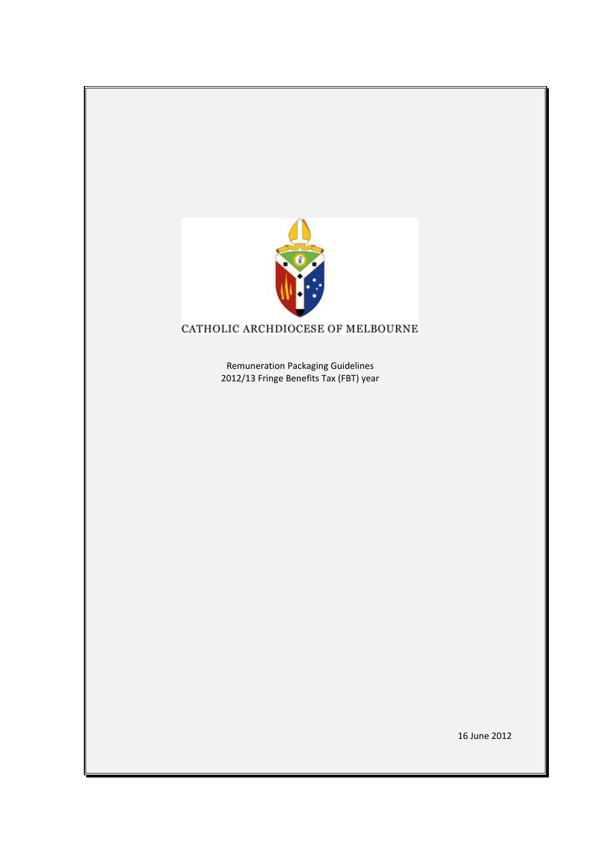

# CATHOLIC ARCHDIOCESE OF MELBOURNE

Remuneration Packaging Guidelines 2012/13 Fringe Benefits Tax (FBT) year

16 June 2012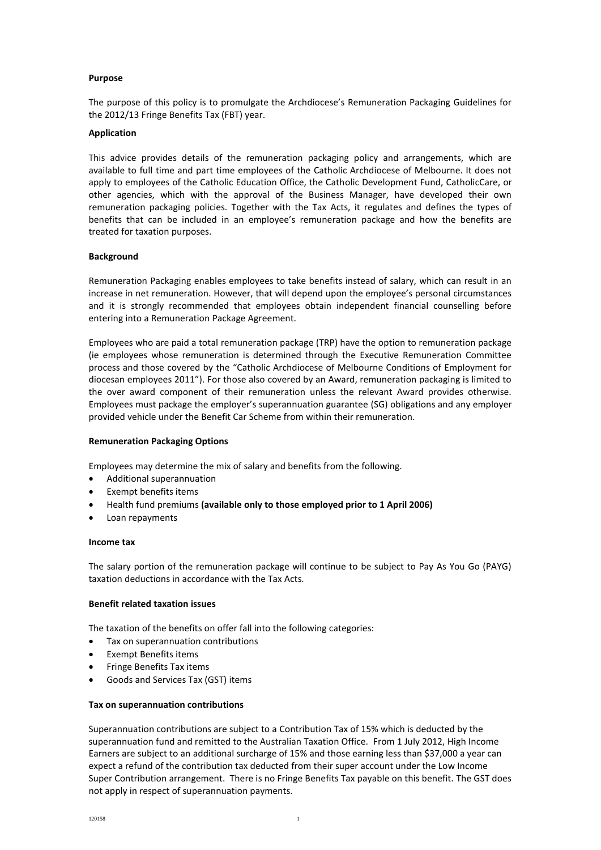## **Purpose**

The purpose of this policy is to promulgate the Archdiocese's Remuneration Packaging Guidelines for the 2012/13 Fringe Benefits Tax (FBT) year.

# **Application**

This advice provides details of the remuneration packaging policy and arrangements, which are available to full time and part time employees of the Catholic Archdiocese of Melbourne. It does not apply to employees of the Catholic Education Office, the Catholic Development Fund, CatholicCare, or other agencies, which with the approval of the Business Manager, have developed their own remuneration packaging policies. Together with the Tax Acts, it regulates and defines the types of benefits that can be included in an employee's remuneration package and how the benefits are treated for taxation purposes.

# **Background**

Remuneration Packaging enables employees to take benefits instead of salary, which can result in an increase in net remuneration. However, that will depend upon the employee's personal circumstances and it is strongly recommended that employees obtain independent financial counselling before entering into a Remuneration Package Agreement.

Employees who are paid a total remuneration package (TRP) have the option to remuneration package (ie employees whose remuneration is determined through the Executive Remuneration Committee process and those covered by the "Catholic Archdiocese of Melbourne Conditions of Employment for diocesan employees 2011"). For those also covered by an Award, remuneration packaging is limited to the over award component of their remuneration unless the relevant Award provides otherwise. Employees must package the employer's superannuation guarantee (SG) obligations and any employer provided vehicle under the Benefit Car Scheme from within their remuneration.

# **Remuneration Packaging Options**

Employees may determine the mix of salary and benefits from the following.

- Additional superannuation
- Exempt benefits items
- Health fund premiums **(available only to those employed prior to 1 April 2006)**
- Loan repayments

## **Income tax**

The salary portion of the remuneration package will continue to be subject to Pay As You Go (PAYG) taxation deductions in accordance with the Tax Acts*.*

## **Benefit related taxation issues**

The taxation of the benefits on offer fall into the following categories:

- Tax on superannuation contributions
- Exempt Benefits items
- Fringe Benefits Tax items
- Goods and Services Tax (GST) items

## **Tax on superannuation contributions**

Superannuation contributions are subject to a Contribution Tax of 15% which is deducted by the superannuation fund and remitted to the Australian Taxation Office. From 1 July 2012, High Income Earners are subject to an additional surcharge of 15% and those earning less than \$37,000 a year can expect a refund of the contribution tax deducted from their super account under the Low Income Super Contribution arrangement. There is no Fringe Benefits Tax payable on this benefit. The GST does not apply in respect of superannuation payments.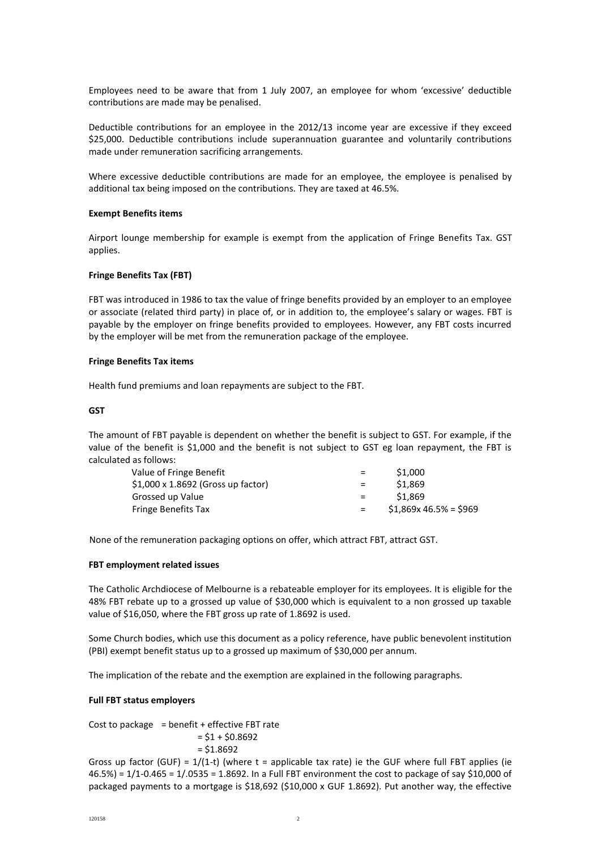Employees need to be aware that from 1 July 2007, an employee for whom 'excessive' deductible contributions are made may be penalised.

Deductible contributions for an employee in the 2012/13 income year are excessive if they exceed \$25,000. Deductible contributions include superannuation guarantee and voluntarily contributions made under remuneration sacrificing arrangements.

Where excessive deductible contributions are made for an employee, the employee is penalised by additional tax being imposed on the contributions. They are taxed at 46.5%.

## **Exempt Benefits items**

Airport lounge membership for example is exempt from the application of Fringe Benefits Tax. GST applies.

# **Fringe Benefits Tax (FBT)**

FBT was introduced in 1986 to tax the value of fringe benefits provided by an employer to an employee or associate (related third party) in place of, or in addition to, the employee's salary or wages. FBT is payable by the employer on fringe benefits provided to employees. However, any FBT costs incurred by the employer will be met from the remuneration package of the employee.

# **Fringe Benefits Tax items**

Health fund premiums and loan repayments are subject to the FBT.

# **GST**

The amount of FBT payable is dependent on whether the benefit is subject to GST. For example, if the value of the benefit is \$1,000 and the benefit is not subject to GST eg loan repayment, the FBT is calculated as follows:

| $=$ | \$1,000                 |
|-----|-------------------------|
| $=$ | \$1.869                 |
| $=$ | \$1.869                 |
| $=$ | $$1,869x 46.5\% = $969$ |
|     |                         |

None of the remuneration packaging options on offer, which attract FBT, attract GST.

## **FBT employment related issues**

The Catholic Archdiocese of Melbourne is a rebateable employer for its employees. It is eligible for the 48% FBT rebate up to a grossed up value of \$30,000 which is equivalent to a non grossed up taxable value of \$16,050, where the FBT gross up rate of 1.8692 is used.

Some Church bodies, which use this document as a policy reference, have public benevolent institution (PBI) exempt benefit status up to a grossed up maximum of \$30,000 per annum.

The implication of the rebate and the exemption are explained in the following paragraphs.

## **Full FBT status employers**

Cost to package  $=$  benefit + effective FBT rate  $= $1 + $0.8692$  $= $1.8692$ 

Gross up factor (GUF) =  $1/(1-t)$  (where t = applicable tax rate) ie the GUF where full FBT applies (ie 46.5%) = 1/1-0.465 = 1/.0535 = 1.8692. In a Full FBT environment the cost to package of say \$10,000 of packaged payments to a mortgage is \$18,692 (\$10,000 x GUF 1.8692). Put another way, the effective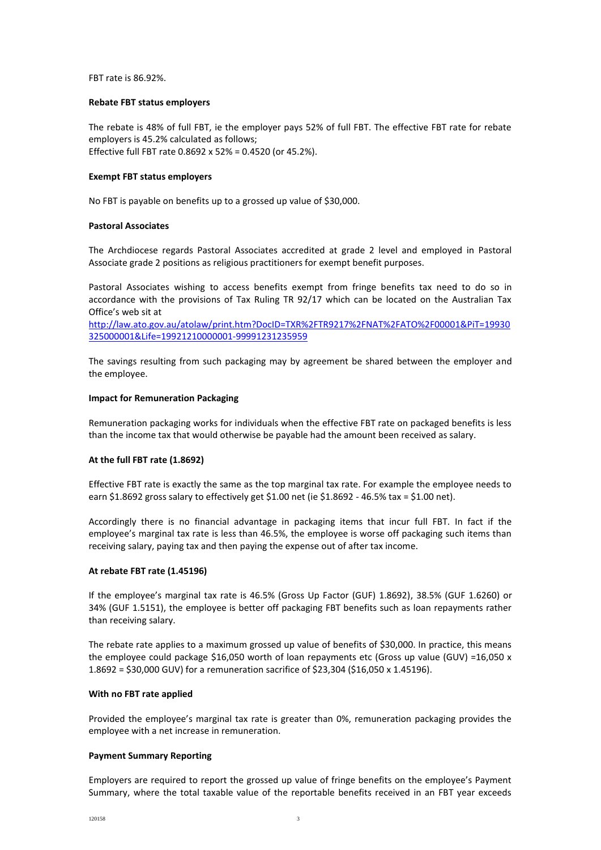FBT rate is 86.92%.

## **Rebate FBT status employers**

The rebate is 48% of full FBT, ie the employer pays 52% of full FBT. The effective FBT rate for rebate employers is 45.2% calculated as follows; Effective full FBT rate 0.8692 x 52% = 0.4520 (or 45.2%).

## **Exempt FBT status employers**

No FBT is payable on benefits up to a grossed up value of \$30,000.

# **Pastoral Associates**

The Archdiocese regards Pastoral Associates accredited at grade 2 level and employed in Pastoral Associate grade 2 positions as religious practitioners for exempt benefit purposes.

Pastoral Associates wishing to access benefits exempt from fringe benefits tax need to do so in accordance with the provisions of Tax Ruling TR 92/17 which can be located on the Australian Tax Office's web sit at

[http://law.ato.gov.au/atolaw/print.htm?DocID=TXR%2FTR9217%2FNAT%2FATO%2F00001&PiT=19930](http://law.ato.gov.au/atolaw/print.htm?DocID=TXR%2FTR9217%2FNAT%2FATO%2F00001&PiT=19930325000001&Life=19921210000001-99991231235959) [325000001&Life=19921210000001-99991231235959](http://law.ato.gov.au/atolaw/print.htm?DocID=TXR%2FTR9217%2FNAT%2FATO%2F00001&PiT=19930325000001&Life=19921210000001-99991231235959)

The savings resulting from such packaging may by agreement be shared between the employer and the employee.

## **Impact for Remuneration Packaging**

Remuneration packaging works for individuals when the effective FBT rate on packaged benefits is less than the income tax that would otherwise be payable had the amount been received as salary.

# **At the full FBT rate (1.8692)**

Effective FBT rate is exactly the same as the top marginal tax rate. For example the employee needs to earn \$1.8692 gross salary to effectively get \$1.00 net (ie \$1.8692 - 46.5% tax = \$1.00 net).

Accordingly there is no financial advantage in packaging items that incur full FBT. In fact if the employee's marginal tax rate is less than 46.5%, the employee is worse off packaging such items than receiving salary, paying tax and then paying the expense out of after tax income.

## **At rebate FBT rate (1.45196)**

If the employee's marginal tax rate is 46.5% (Gross Up Factor (GUF) 1.8692), 38.5% (GUF 1.6260) or 34% (GUF 1.5151), the employee is better off packaging FBT benefits such as loan repayments rather than receiving salary.

The rebate rate applies to a maximum grossed up value of benefits of \$30,000. In practice, this means the employee could package \$16,050 worth of loan repayments etc (Gross up value (GUV) =16,050 x 1.8692 = \$30,000 GUV) for a remuneration sacrifice of \$23,304 (\$16,050 x 1.45196).

## **With no FBT rate applied**

Provided the employee's marginal tax rate is greater than 0%, remuneration packaging provides the employee with a net increase in remuneration.

## **Payment Summary Reporting**

Employers are required to report the grossed up value of fringe benefits on the employee's Payment Summary, where the total taxable value of the reportable benefits received in an FBT year exceeds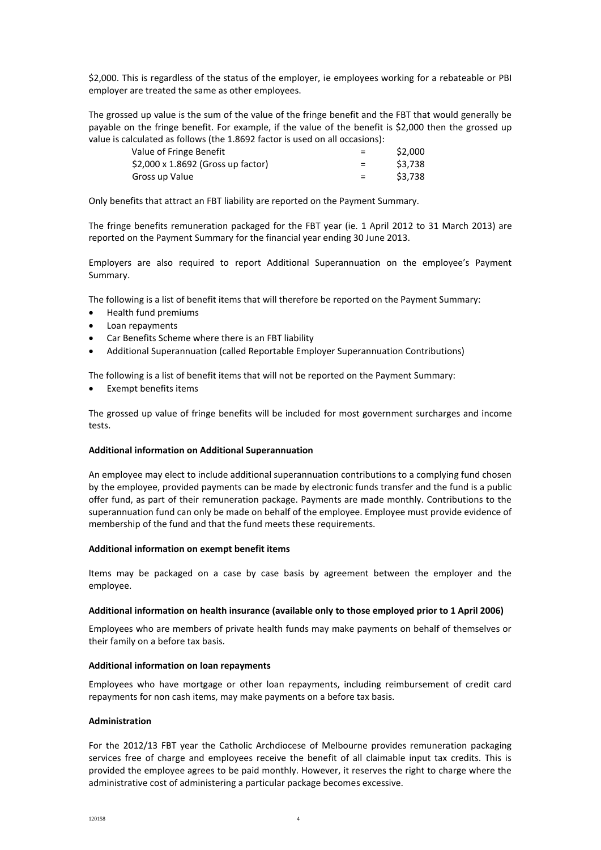\$2,000. This is regardless of the status of the employer, ie employees working for a rebateable or PBI employer are treated the same as other employees.

The grossed up value is the sum of the value of the fringe benefit and the FBT that would generally be payable on the fringe benefit. For example, if the value of the benefit is \$2,000 then the grossed up value is calculated as follows (the 1.8692 factor is used on all occasions):

| Value of Fringe Benefit            | $=$ | \$2,000 |
|------------------------------------|-----|---------|
| \$2,000 x 1.8692 (Gross up factor) | $=$ | \$3.738 |
| Gross up Value                     | $=$ | \$3.738 |

Only benefits that attract an FBT liability are reported on the Payment Summary.

The fringe benefits remuneration packaged for the FBT year (ie. 1 April 2012 to 31 March 2013) are reported on the Payment Summary for the financial year ending 30 June 2013.

Employers are also required to report Additional Superannuation on the employee's Payment Summary.

The following is a list of benefit items that will therefore be reported on the Payment Summary:

- Health fund premiums
- Loan repayments
- Car Benefits Scheme where there is an FBT liability
- Additional Superannuation (called Reportable Employer Superannuation Contributions)

The following is a list of benefit items that will not be reported on the Payment Summary:

Exempt benefits items

The grossed up value of fringe benefits will be included for most government surcharges and income tests.

## **Additional information on Additional Superannuation**

An employee may elect to include additional superannuation contributions to a complying fund chosen by the employee, provided payments can be made by electronic funds transfer and the fund is a public offer fund, as part of their remuneration package. Payments are made monthly. Contributions to the superannuation fund can only be made on behalf of the employee. Employee must provide evidence of membership of the fund and that the fund meets these requirements.

## **Additional information on exempt benefit items**

Items may be packaged on a case by case basis by agreement between the employer and the employee.

## **Additional information on health insurance (available only to those employed prior to 1 April 2006)**

Employees who are members of private health funds may make payments on behalf of themselves or their family on a before tax basis.

## **Additional information on loan repayments**

Employees who have mortgage or other loan repayments, including reimbursement of credit card repayments for non cash items, may make payments on a before tax basis.

## **Administration**

For the 2012/13 FBT year the Catholic Archdiocese of Melbourne provides remuneration packaging services free of charge and employees receive the benefit of all claimable input tax credits. This is provided the employee agrees to be paid monthly. However, it reserves the right to charge where the administrative cost of administering a particular package becomes excessive.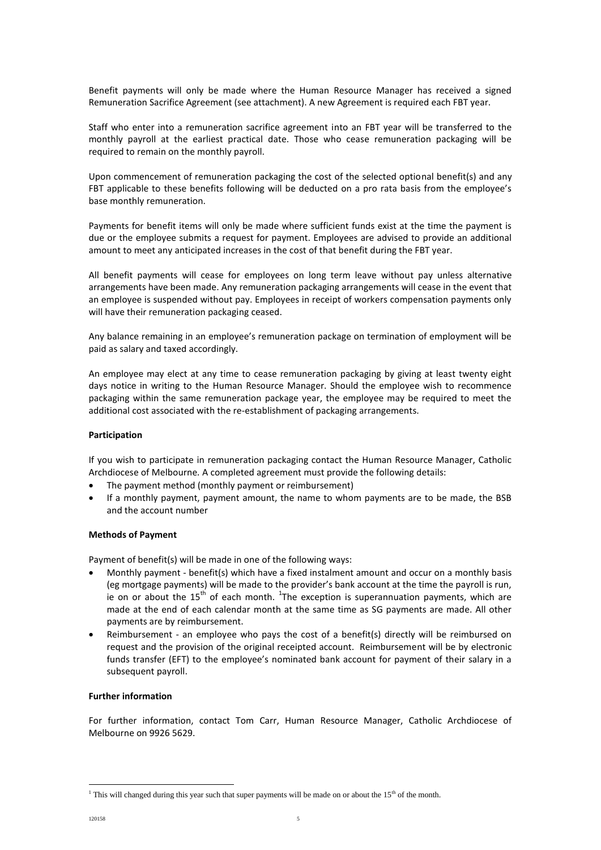Benefit payments will only be made where the Human Resource Manager has received a signed Remuneration Sacrifice Agreement (see attachment). A new Agreement is required each FBT year.

Staff who enter into a remuneration sacrifice agreement into an FBT year will be transferred to the monthly payroll at the earliest practical date. Those who cease remuneration packaging will be required to remain on the monthly payroll.

Upon commencement of remuneration packaging the cost of the selected optional benefit(s) and any FBT applicable to these benefits following will be deducted on a pro rata basis from the employee's base monthly remuneration.

Payments for benefit items will only be made where sufficient funds exist at the time the payment is due or the employee submits a request for payment. Employees are advised to provide an additional amount to meet any anticipated increases in the cost of that benefit during the FBT year.

All benefit payments will cease for employees on long term leave without pay unless alternative arrangements have been made. Any remuneration packaging arrangements will cease in the event that an employee is suspended without pay. Employees in receipt of workers compensation payments only will have their remuneration packaging ceased.

Any balance remaining in an employee's remuneration package on termination of employment will be paid as salary and taxed accordingly.

An employee may elect at any time to cease remuneration packaging by giving at least twenty eight days notice in writing to the Human Resource Manager. Should the employee wish to recommence packaging within the same remuneration package year, the employee may be required to meet the additional cost associated with the re-establishment of packaging arrangements.

# **Participation**

If you wish to participate in remuneration packaging contact the Human Resource Manager, Catholic Archdiocese of Melbourne*.* A completed agreement must provide the following details:

- The payment method (monthly payment or reimbursement)
- If a monthly payment, payment amount, the name to whom payments are to be made, the BSB and the account number

# **Methods of Payment**

Payment of benefit(s) will be made in one of the following ways:

- Monthly payment benefit(s) which have a fixed instalment amount and occur on a monthly basis (eg mortgage payments) will be made to the provider's bank account at the time the payroll is run, ie on or about the 15<sup>th</sup> of each month. <sup>1</sup>The exception is superannuation payments, which are made at the end of each calendar month at the same time as SG payments are made. All other payments are by reimbursement.
- Reimbursement an employee who pays the cost of a benefit(s) directly will be reimbursed on request and the provision of the original receipted account. Reimbursement will be by electronic funds transfer (EFT) to the employee's nominated bank account for payment of their salary in a subsequent payroll.

## **Further information**

For further information, contact Tom Carr, Human Resource Manager, Catholic Archdiocese of Melbourne on 9926 5629.

 $\overline{a}$ 

<sup>&</sup>lt;sup>1</sup> This will changed during this year such that super payments will be made on or about the  $15<sup>th</sup>$  of the month.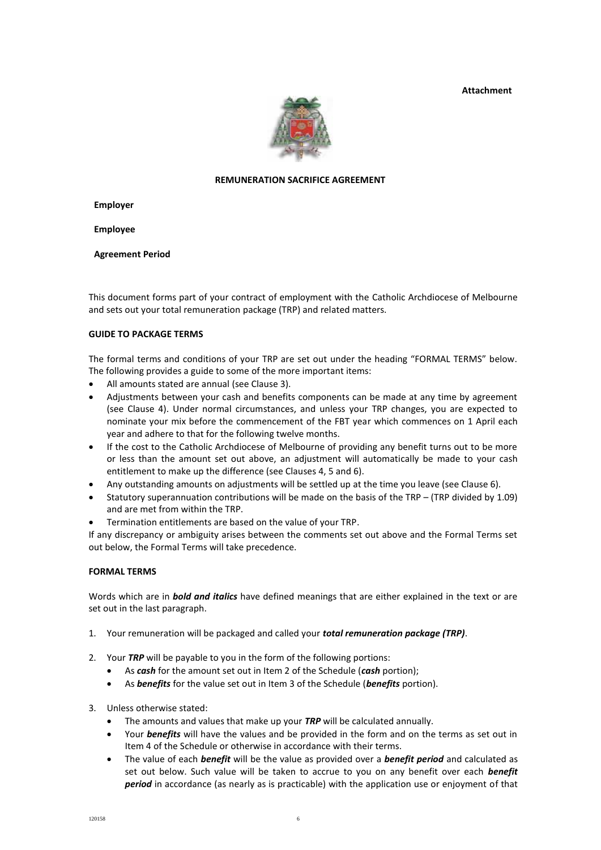**Attachment** 



# **REMUNERATION SACRIFICE AGREEMENT**

**Employer**

**Employee**

**Agreement Period**

This document forms part of your contract of employment with the Catholic Archdiocese of Melbourne and sets out your total remuneration package (TRP) and related matters.

# **GUIDE TO PACKAGE TERMS**

The formal terms and conditions of your TRP are set out under the heading "FORMAL TERMS" below. The following provides a guide to some of the more important items:

- All amounts stated are annual (see Clause 3).
- Adjustments between your cash and benefits components can be made at any time by agreement (see Clause 4). Under normal circumstances, and unless your TRP changes, you are expected to nominate your mix before the commencement of the FBT year which commences on 1 April each year and adhere to that for the following twelve months.
- If the cost to the Catholic Archdiocese of Melbourne of providing any benefit turns out to be more or less than the amount set out above, an adjustment will automatically be made to your cash entitlement to make up the difference (see Clauses 4, 5 and 6).
- Any outstanding amounts on adjustments will be settled up at the time you leave (see Clause 6).
- Statutory superannuation contributions will be made on the basis of the TRP (TRP divided by 1.09) and are met from within the TRP.
- Termination entitlements are based on the value of your TRP.

If any discrepancy or ambiguity arises between the comments set out above and the Formal Terms set out below, the Formal Terms will take precedence.

# **FORMAL TERMS**

Words which are in *bold and italics* have defined meanings that are either explained in the text or are set out in the last paragraph.

- 1. Your remuneration will be packaged and called your *total remuneration package (TRP)*.
- 2. Your *TRP* will be payable to you in the form of the following portions:
	- As *cash* for the amount set out in Item 2 of the Schedule (*cash* portion);
	- As *benefits* for the value set out in Item 3 of the Schedule (*benefits* portion).
- 3. Unless otherwise stated:
	- The amounts and values that make up your *TRP* will be calculated annually.
	- Your **benefits** will have the values and be provided in the form and on the terms as set out in Item 4 of the Schedule or otherwise in accordance with their terms.
	- The value of each *benefit* will be the value as provided over a *benefit period* and calculated as set out below. Such value will be taken to accrue to you on any benefit over each *benefit period* in accordance (as nearly as is practicable) with the application use or enjoyment of that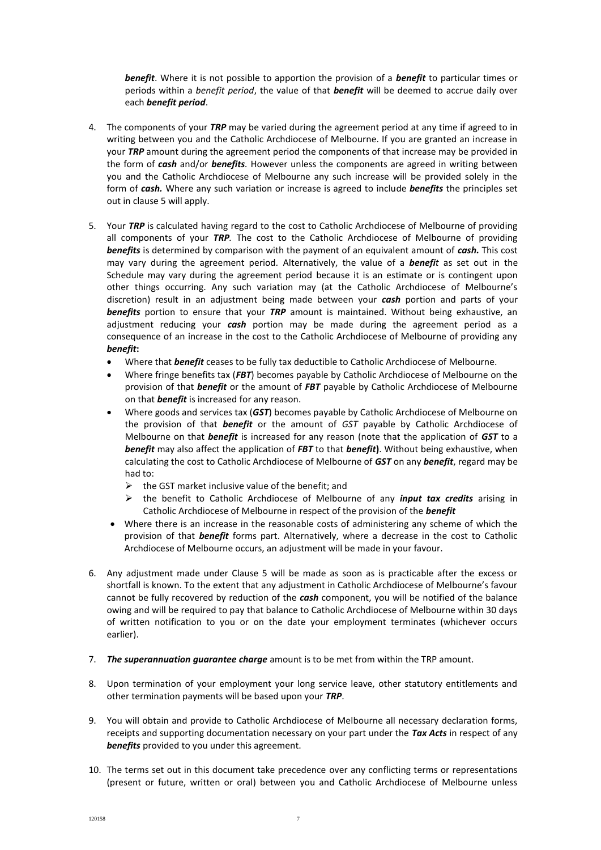*benefit*. Where it is not possible to apportion the provision of a *benefit* to particular times or periods within a *benefit period*, the value of that *benefit* will be deemed to accrue daily over each *benefit period*.

- 4. The components of your *TRP* may be varied during the agreement period at any time if agreed to in writing between you and the Catholic Archdiocese of Melbourne. If you are granted an increase in your *TRP* amount during the agreement period the components of that increase may be provided in the form of *cash* and/or *benefits.* However unless the components are agreed in writing between you and the Catholic Archdiocese of Melbourne any such increase will be provided solely in the form of *cash.* Where any such variation or increase is agreed to include *benefits* the principles set out in clause 5 will apply.
- 5. Your *TRP* is calculated having regard to the cost to Catholic Archdiocese of Melbourne of providing all components of your *TRP.* The cost to the Catholic Archdiocese of Melbourne of providing *benefits* is determined by comparison with the payment of an equivalent amount of *cash.* This cost may vary during the agreement period*.* Alternatively, the value of a *benefit* as set out in the Schedule may vary during the agreement period because it is an estimate or is contingent upon other things occurring. Any such variation may (at the Catholic Archdiocese of Melbourne's discretion) result in an adjustment being made between your *cash* portion and parts of your *benefits* portion to ensure that your *TRP* amount is maintained. Without being exhaustive, an adjustment reducing your *cash* portion may be made during the agreement period as a consequence of an increase in the cost to the Catholic Archdiocese of Melbourne of providing any *benefit***:**
	- Where that *benefit* ceases to be fully tax deductible to Catholic Archdiocese of Melbourne.
	- Where fringe benefits tax (*FBT*) becomes payable by Catholic Archdiocese of Melbourne on the provision of that *benefit* or the amount of *FBT* payable by Catholic Archdiocese of Melbourne on that *benefit* is increased for any reason.
	- Where goods and services tax (*GST*) becomes payable by Catholic Archdiocese of Melbourne on the provision of that *benefit* or the amount of *GST* payable by Catholic Archdiocese of Melbourne on that *benefit* is increased for any reason (note that the application of *GST* to a *benefit* may also affect the application of *FBT* to that *benefit***)**. Without being exhaustive, when calculating the cost to Catholic Archdiocese of Melbourne of *GST* on any *benefit*, regard may be had to:
		- $\triangleright$  the GST market inclusive value of the benefit; and
		- the benefit to Catholic Archdiocese of Melbourne of any *input tax credits* arising in Catholic Archdiocese of Melbourne in respect of the provision of the *benefit*
	- Where there is an increase in the reasonable costs of administering any scheme of which the provision of that *benefit* forms part. Alternatively, where a decrease in the cost to Catholic Archdiocese of Melbourne occurs, an adjustment will be made in your favour.
- 6. Any adjustment made under Clause 5 will be made as soon as is practicable after the excess or shortfall is known. To the extent that any adjustment in Catholic Archdiocese of Melbourne's favour cannot be fully recovered by reduction of the *cash* component, you will be notified of the balance owing and will be required to pay that balance to Catholic Archdiocese of Melbourne within 30 days of written notification to you or on the date your employment terminates (whichever occurs earlier).
- 7. *The superannuation guarantee charge* amount is to be met from within the TRP amount.
- 8. Upon termination of your employment your long service leave, other statutory entitlements and other termination payments will be based upon your *TRP*.
- 9. You will obtain and provide to Catholic Archdiocese of Melbourne all necessary declaration forms, receipts and supporting documentation necessary on your part under the *Tax Acts* in respect of any *benefits* provided to you under this agreement.
- 10. The terms set out in this document take precedence over any conflicting terms or representations (present or future, written or oral) between you and Catholic Archdiocese of Melbourne unless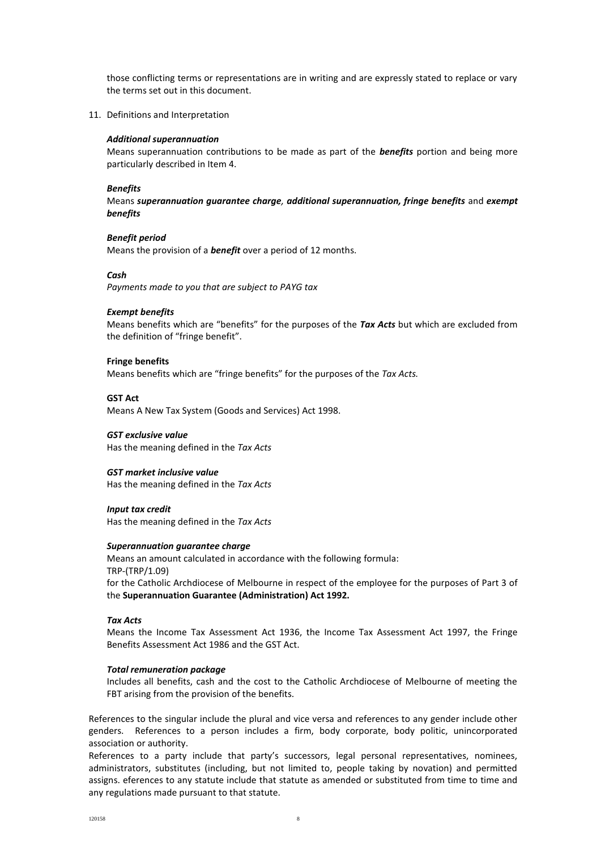those conflicting terms or representations are in writing and are expressly stated to replace or vary the terms set out in this document.

11. Definitions and Interpretation

#### *Additional superannuation*

Means superannuation contributions to be made as part of the *benefits* portion and being more particularly described in Item 4.

#### *Benefits*

Means *superannuation guarantee charge, additional superannuation, fringe benefits* and *exempt benefits*

## *Benefit period*

Means the provision of a *benefit* over a period of 12 months.

#### *Cash*

*Payments made to you that are subject to PAYG tax*

#### *Exempt benefits*

Means benefits which are "benefits" for the purposes of the *Tax Acts* but which are excluded from the definition of "fringe benefit".

#### **Fringe benefits**

Means benefits which are "fringe benefits" for the purposes of the *Tax Acts.*

#### **GST Act**

Means A New Tax System (Goods and Services) Act 1998.

#### *GST exclusive value*

Has the meaning defined in the *Tax Acts*

### *GST market inclusive value*

Has the meaning defined in the *Tax Acts*

#### *Input tax credit*

Has the meaning defined in the *Tax Acts*

#### *Superannuation guarantee charge*

Means an amount calculated in accordance with the following formula: TRP-(TRP/1.09) for the Catholic Archdiocese of Melbourne in respect of the employee for the purposes of Part 3 of the **Superannuation Guarantee (Administration) Act 1992.**

#### *Tax Acts*

Means the Income Tax Assessment Act 1936, the Income Tax Assessment Act 1997, the Fringe Benefits Assessment Act 1986 and the GST Act.

### *Total remuneration package*

Includes all benefits, cash and the cost to the Catholic Archdiocese of Melbourne of meeting the FBT arising from the provision of the benefits.

References to the singular include the plural and vice versa and references to any gender include other genders. References to a person includes a firm, body corporate, body politic, unincorporated association or authority.

References to a party include that party's successors, legal personal representatives, nominees, administrators, substitutes (including, but not limited to, people taking by novation) and permitted assigns. eferences to any statute include that statute as amended or substituted from time to time and any regulations made pursuant to that statute.